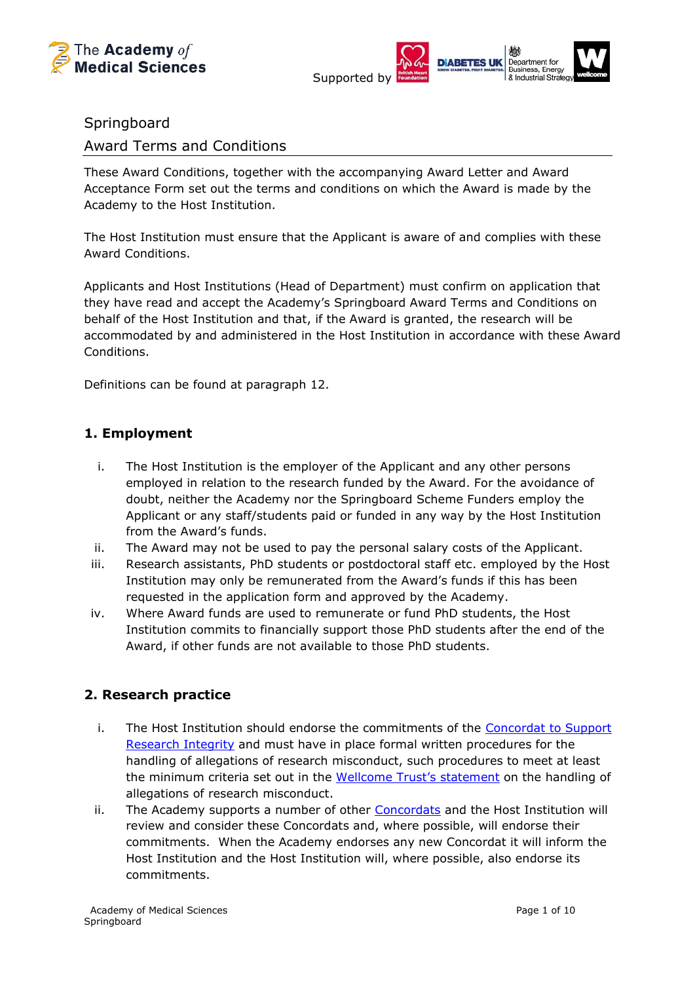



## **Springboard**

Award Terms and Conditions

These Award Conditions, together with the accompanying Award Letter and Award Acceptance Form set out the terms and conditions on which the Award is made by the Academy to the Host Institution.

The Host Institution must ensure that the Applicant is aware of and complies with these Award Conditions.

Applicants and Host Institutions (Head of Department) must confirm on application that they have read and accept the Academy's Springboard Award Terms and Conditions on behalf of the Host Institution and that, if the Award is granted, the research will be accommodated by and administered in the Host Institution in accordance with these Award Conditions.

Definitions can be found at paragraph 12.

## **1. Employment**

- i. The Host Institution is the employer of the Applicant and any other persons employed in relation to the research funded by the Award. For the avoidance of doubt, neither the Academy nor the Springboard Scheme Funders employ the Applicant or any staff/students paid or funded in any way by the Host Institution from the Award's funds.
- ii. The Award may not be used to pay the personal salary costs of the Applicant.
- iii. Research assistants, PhD students or postdoctoral staff etc. employed by the Host Institution may only be remunerated from the Award's funds if this has been requested in the application form and approved by the Academy.
- iv. Where Award funds are used to remunerate or fund PhD students, the Host Institution commits to financially support those PhD students after the end of the Award, if other funds are not available to those PhD students.

## **2. Research practice**

- i. The Host Institution should endorse the commitments of the [Concordat to Support](https://www.universitiesuk.ac.uk/topics/research-and-innovation/concordat-research-integrity)  [Research Integrity](https://www.universitiesuk.ac.uk/topics/research-and-innovation/concordat-research-integrity) and must have in place formal written procedures for the handling of allegations of research misconduct, such procedures to meet at least the minimum criteria set out in the Wellcom[e Trust's statement](https://wellcome.ac.uk/funding/guidance/research-misconduct) on the handling of allegations of research misconduct.
- ii. The Academy supports a number of other [Concordats](https://acmedsci.ac.uk/grants-and-schemes/grant-schemes/information-for-awardees/policies-and-concordats-for-awardees/concordats-and-grants-policies) and the Host Institution will review and consider these Concordats and, where possible, will endorse their commitments. When the Academy endorses any new Concordat it will inform the Host Institution and the Host Institution will, where possible, also endorse its commitments.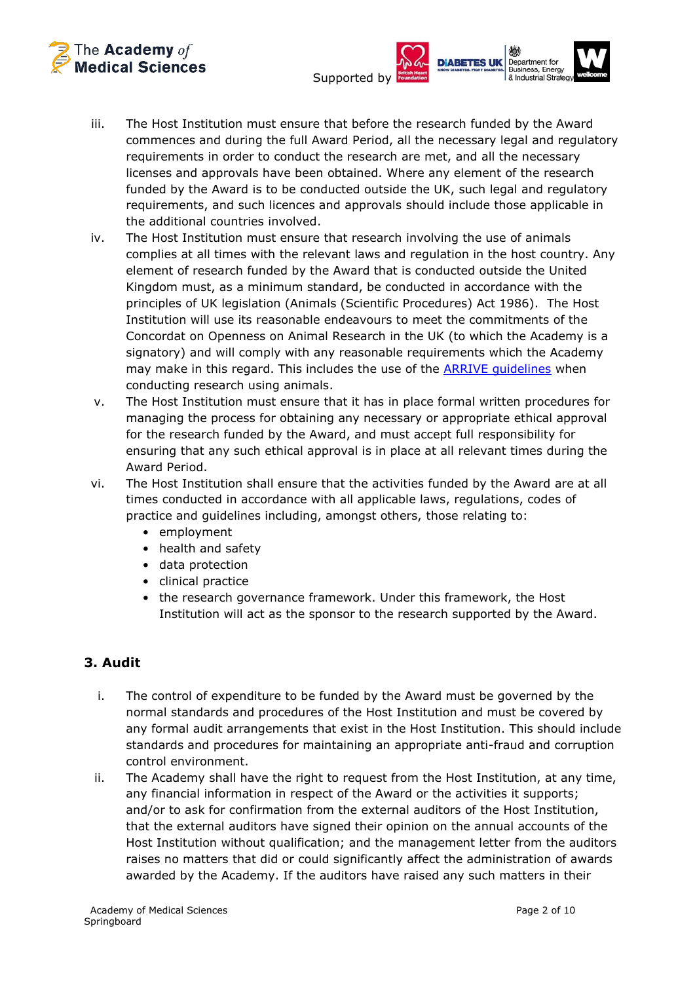



- iii. The Host Institution must ensure that before the research funded by the Award commences and during the full Award Period, all the necessary legal and regulatory requirements in order to conduct the research are met, and all the necessary licenses and approvals have been obtained. Where any element of the research funded by the Award is to be conducted outside the UK, such legal and regulatory requirements, and such licences and approvals should include those applicable in the additional countries involved.
- iv. The Host Institution must ensure that research involving the use of animals complies at all times with the relevant laws and regulation in the host country. Any element of research funded by the Award that is conducted outside the United Kingdom must, as a minimum standard, be conducted in accordance with the principles of UK legislation (Animals (Scientific Procedures) Act 1986). The Host Institution will use its reasonable endeavours to meet the commitments of the Concordat on Openness on Animal Research in the UK (to which the Academy is a signatory) and will comply with any reasonable requirements which the Academy may make in this regard. This includes the use of the [ARRIVE guidelines](https://arriveguidelines.org/) when conducting research using animals.
- v. The Host Institution must ensure that it has in place formal written procedures for managing the process for obtaining any necessary or appropriate ethical approval for the research funded by the Award, and must accept full responsibility for ensuring that any such ethical approval is in place at all relevant times during the Award Period.
- vi. The Host Institution shall ensure that the activities funded by the Award are at all times conducted in accordance with all applicable laws, regulations, codes of practice and guidelines including, amongst others, those relating to:
	- employment
	- health and safety
	- data protection
	- clinical practice
	- the research governance framework. Under this framework, the Host Institution will act as the sponsor to the research supported by the Award.

# **3. Audit**

- i. The control of expenditure to be funded by the Award must be governed by the normal standards and procedures of the Host Institution and must be covered by any formal audit arrangements that exist in the Host Institution. This should include standards and procedures for maintaining an appropriate anti-fraud and corruption control environment.
- ii. The Academy shall have the right to request from the Host Institution, at any time, any financial information in respect of the Award or the activities it supports; and/or to ask for confirmation from the external auditors of the Host Institution, that the external auditors have signed their opinion on the annual accounts of the Host Institution without qualification; and the management letter from the auditors raises no matters that did or could significantly affect the administration of awards awarded by the Academy. If the auditors have raised any such matters in their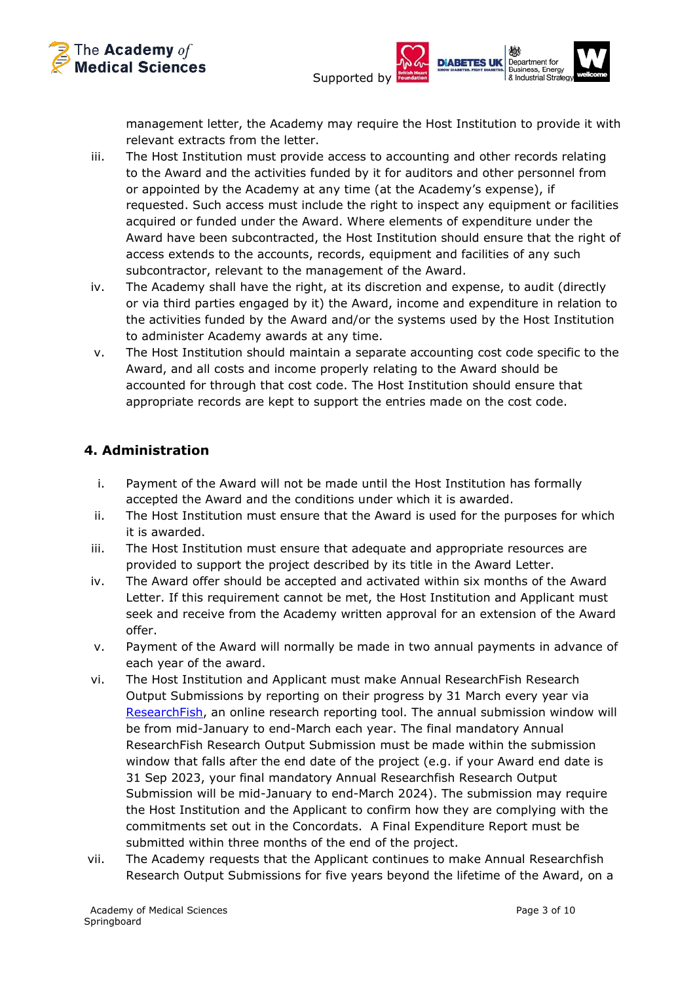



management letter, the Academy may require the Host Institution to provide it with relevant extracts from the letter.

- iii. The Host Institution must provide access to accounting and other records relating to the Award and the activities funded by it for auditors and other personnel from or appointed by the Academy at any time (at the Academy's expense), if requested. Such access must include the right to inspect any equipment or facilities acquired or funded under the Award. Where elements of expenditure under the Award have been subcontracted, the Host Institution should ensure that the right of access extends to the accounts, records, equipment and facilities of any such subcontractor, relevant to the management of the Award.
- iv. The Academy shall have the right, at its discretion and expense, to audit (directly or via third parties engaged by it) the Award, income and expenditure in relation to the activities funded by the Award and/or the systems used by the Host Institution to administer Academy awards at any time.
- v. The Host Institution should maintain a separate accounting cost code specific to the Award, and all costs and income properly relating to the Award should be accounted for through that cost code. The Host Institution should ensure that appropriate records are kept to support the entries made on the cost code.

## **4. Administration**

- i. Payment of the Award will not be made until the Host Institution has formally accepted the Award and the conditions under which it is awarded.
- ii. The Host Institution must ensure that the Award is used for the purposes for which it is awarded.
- iii. The Host Institution must ensure that adequate and appropriate resources are provided to support the project described by its title in the Award Letter.
- iv. The Award offer should be accepted and activated within six months of the Award Letter. If this requirement cannot be met, the Host Institution and Applicant must seek and receive from the Academy written approval for an extension of the Award offer.
- v. Payment of the Award will normally be made in two annual payments in advance of each year of the award.
- vi. The Host Institution and Applicant must make Annual ResearchFish Research Output Submissions by reporting on their progress by 31 March every year via [ResearchFish,](http://www.researchfish.com/) an online research reporting tool. The annual submission window will be from mid-January to end-March each year. The final mandatory Annual ResearchFish Research Output Submission must be made within the submission window that falls after the end date of the project (e.g. if your Award end date is 31 Sep 2023, your final mandatory Annual Researchfish Research Output Submission will be mid-January to end-March 2024). The submission may require the Host Institution and the Applicant to confirm how they are complying with the commitments set out in the Concordats. A Final Expenditure Report must be submitted within three months of the end of the project.
- vii. The Academy requests that the Applicant continues to make Annual Researchfish Research Output Submissions for five years beyond the lifetime of the Award, on a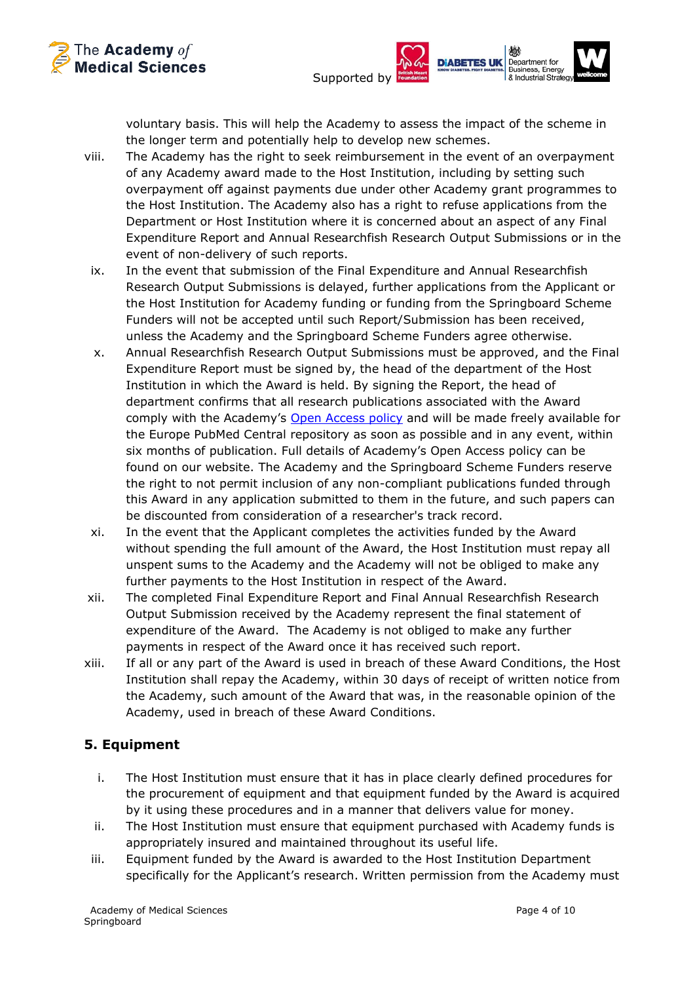



voluntary basis. This will help the Academy to assess the impact of the scheme in the longer term and potentially help to develop new schemes.

- viii. The Academy has the right to seek reimbursement in the event of an overpayment of any Academy award made to the Host Institution, including by setting such overpayment off against payments due under other Academy grant programmes to the Host Institution. The Academy also has a right to refuse applications from the Department or Host Institution where it is concerned about an aspect of any Final Expenditure Report and Annual Researchfish Research Output Submissions or in the event of non-delivery of such reports.
	- ix. In the event that submission of the Final Expenditure and Annual Researchfish Research Output Submissions is delayed, further applications from the Applicant or the Host Institution for Academy funding or funding from the Springboard Scheme Funders will not be accepted until such Report/Submission has been received, unless the Academy and the Springboard Scheme Funders agree otherwise.
	- x. Annual Researchfish Research Output Submissions must be approved, and the Final Expenditure Report must be signed by, the head of the department of the Host Institution in which the Award is held. By signing the Report, the head of department confirms that all research publications associated with the Award comply with the Academy's [Open Access policy](https://acmedsci.ac.uk/file-download/38304-57dbc41c3335b.pdf) and will be made freely available for the Europe PubMed Central repository as soon as possible and in any event, within six months of publication. Full details of Academy's Open Access policy can be found on our website. The Academy and the Springboard Scheme Funders reserve the right to not permit inclusion of any non-compliant publications funded through this Award in any application submitted to them in the future, and such papers can be discounted from consideration of a researcher's track record.
	- xi. In the event that the Applicant completes the activities funded by the Award without spending the full amount of the Award, the Host Institution must repay all unspent sums to the Academy and the Academy will not be obliged to make any further payments to the Host Institution in respect of the Award.
- xii. The completed Final Expenditure Report and Final Annual Researchfish Research Output Submission received by the Academy represent the final statement of expenditure of the Award. The Academy is not obliged to make any further payments in respect of the Award once it has received such report.
- xiii. If all or any part of the Award is used in breach of these Award Conditions, the Host Institution shall repay the Academy, within 30 days of receipt of written notice from the Academy, such amount of the Award that was, in the reasonable opinion of the Academy, used in breach of these Award Conditions.

# **5. Equipment**

- i. The Host Institution must ensure that it has in place clearly defined procedures for the procurement of equipment and that equipment funded by the Award is acquired by it using these procedures and in a manner that delivers value for money.
- ii. The Host Institution must ensure that equipment purchased with Academy funds is appropriately insured and maintained throughout its useful life.
- iii. Equipment funded by the Award is awarded to the Host Institution Department specifically for the Applicant's research. Written permission from the Academy must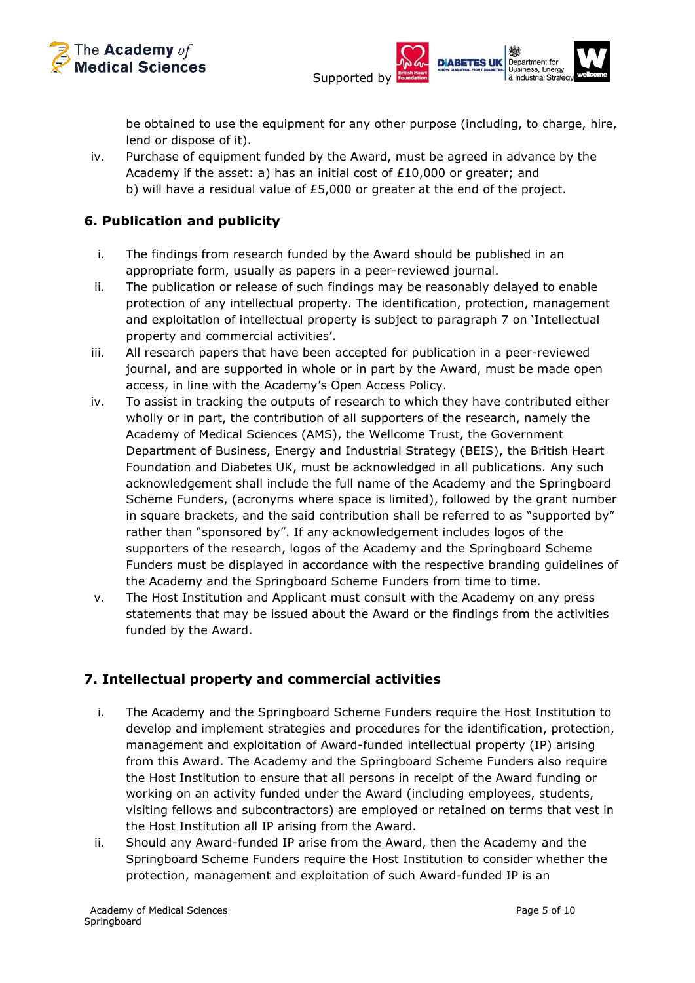



be obtained to use the equipment for any other purpose (including, to charge, hire, lend or dispose of it).

iv. Purchase of equipment funded by the Award, must be agreed in advance by the Academy if the asset: a) has an initial cost of £10,000 or greater; and b) will have a residual value of £5,000 or greater at the end of the project.

## **6. Publication and publicity**

- i. The findings from research funded by the Award should be published in an appropriate form, usually as papers in a peer-reviewed journal.
- ii. The publication or release of such findings may be reasonably delayed to enable protection of any intellectual property. The identification, protection, management and exploitation of intellectual property is subject to paragraph 7 on 'Intellectual property and commercial activities'.
- iii. All research papers that have been accepted for publication in a peer-reviewed journal, and are supported in whole or in part by the Award, must be made open access, in line with the Academy's Open Access Policy.
- iv. To assist in tracking the outputs of research to which they have contributed either wholly or in part, the contribution of all supporters of the research, namely the Academy of Medical Sciences (AMS), the Wellcome Trust, the Government Department of Business, Energy and Industrial Strategy (BEIS), the British Heart Foundation and Diabetes UK, must be acknowledged in all publications. Any such acknowledgement shall include the full name of the Academy and the Springboard Scheme Funders, (acronyms where space is limited), followed by the grant number in square brackets, and the said contribution shall be referred to as "supported by" rather than "sponsored by". If any acknowledgement includes logos of the supporters of the research, logos of the Academy and the Springboard Scheme Funders must be displayed in accordance with the respective branding guidelines of the Academy and the Springboard Scheme Funders from time to time.
- v. The Host Institution and Applicant must consult with the Academy on any press statements that may be issued about the Award or the findings from the activities funded by the Award.

# **7. Intellectual property and commercial activities**

- i. The Academy and the Springboard Scheme Funders require the Host Institution to develop and implement strategies and procedures for the identification, protection, management and exploitation of Award-funded intellectual property (IP) arising from this Award. The Academy and the Springboard Scheme Funders also require the Host Institution to ensure that all persons in receipt of the Award funding or working on an activity funded under the Award (including employees, students, visiting fellows and subcontractors) are employed or retained on terms that vest in the Host Institution all IP arising from the Award.
- ii. Should any Award-funded IP arise from the Award, then the Academy and the Springboard Scheme Funders require the Host Institution to consider whether the protection, management and exploitation of such Award-funded IP is an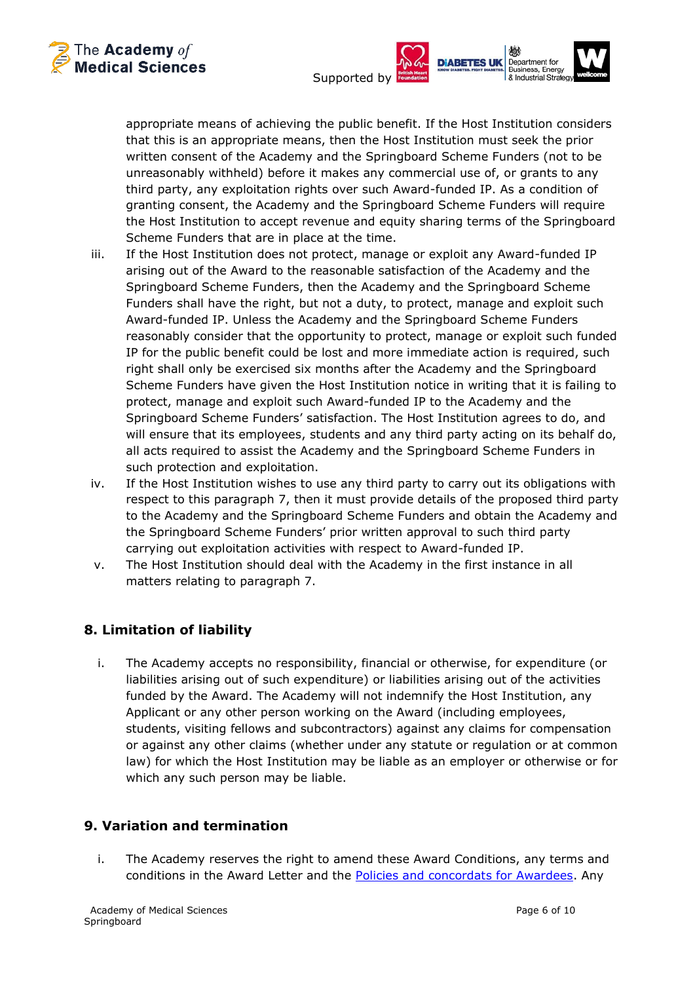



appropriate means of achieving the public benefit. If the Host Institution considers that this is an appropriate means, then the Host Institution must seek the prior written consent of the Academy and the Springboard Scheme Funders (not to be unreasonably withheld) before it makes any commercial use of, or grants to any third party, any exploitation rights over such Award-funded IP. As a condition of granting consent, the Academy and the Springboard Scheme Funders will require the Host Institution to accept revenue and equity sharing terms of the Springboard Scheme Funders that are in place at the time.

- iii. If the Host Institution does not protect, manage or exploit any Award-funded IP arising out of the Award to the reasonable satisfaction of the Academy and the Springboard Scheme Funders, then the Academy and the Springboard Scheme Funders shall have the right, but not a duty, to protect, manage and exploit such Award-funded IP. Unless the Academy and the Springboard Scheme Funders reasonably consider that the opportunity to protect, manage or exploit such funded IP for the public benefit could be lost and more immediate action is required, such right shall only be exercised six months after the Academy and the Springboard Scheme Funders have given the Host Institution notice in writing that it is failing to protect, manage and exploit such Award-funded IP to the Academy and the Springboard Scheme Funders' satisfaction. The Host Institution agrees to do, and will ensure that its employees, students and any third party acting on its behalf do, all acts required to assist the Academy and the Springboard Scheme Funders in such protection and exploitation.
- iv. If the Host Institution wishes to use any third party to carry out its obligations with respect to this paragraph 7, then it must provide details of the proposed third party to the Academy and the Springboard Scheme Funders and obtain the Academy and the Springboard Scheme Funders' prior written approval to such third party carrying out exploitation activities with respect to Award-funded IP.
- v. The Host Institution should deal with the Academy in the first instance in all matters relating to paragraph 7.

# **8. Limitation of liability**

i. The Academy accepts no responsibility, financial or otherwise, for expenditure (or liabilities arising out of such expenditure) or liabilities arising out of the activities funded by the Award. The Academy will not indemnify the Host Institution, any Applicant or any other person working on the Award (including employees, students, visiting fellows and subcontractors) against any claims for compensation or against any other claims (whether under any statute or regulation or at common law) for which the Host Institution may be liable as an employer or otherwise or for which any such person may be liable.

## **9. Variation and termination**

i. The Academy reserves the right to amend these Award Conditions, any terms and conditions in the Award Letter and the [Policies and concordats for Awardees.](https://acmedsci.ac.uk/grants-and-schemes/grant-schemes/information-for-awardees/policies-and-concordats-for-awardees) Any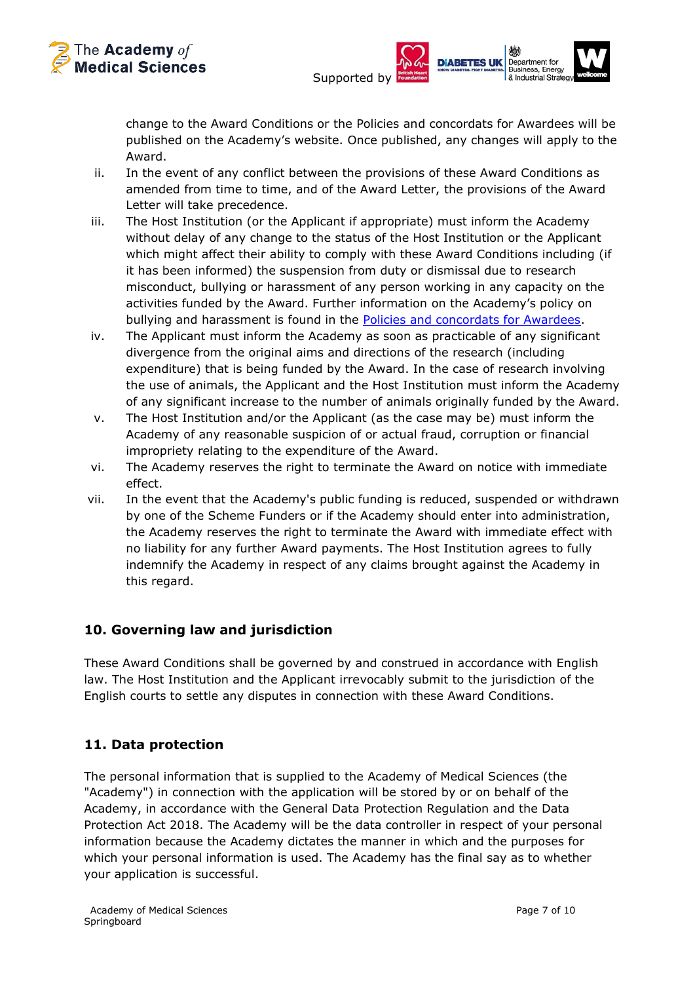



change to the Award Conditions or the Policies and concordats for Awardees will be published on the Academy's website. Once published, any changes will apply to the Award.

- ii. In the event of any conflict between the provisions of these Award Conditions as amended from time to time, and of the Award Letter, the provisions of the Award Letter will take precedence.
- iii. The Host Institution (or the Applicant if appropriate) must inform the Academy without delay of any change to the status of the Host Institution or the Applicant which might affect their ability to comply with these Award Conditions including (if it has been informed) the suspension from duty or dismissal due to research misconduct, bullying or harassment of any person working in any capacity on the activities funded by the Award. Further information on the Academy's policy on bullying and harassment is found in the [Policies and concordats for Awardees.](https://acmedsci.ac.uk/grants-and-schemes/grant-schemes/information-for-awardees/policies-and-concordats-for-awardees)
- iv. The Applicant must inform the Academy as soon as practicable of any significant divergence from the original aims and directions of the research (including expenditure) that is being funded by the Award. In the case of research involving the use of animals, the Applicant and the Host Institution must inform the Academy of any significant increase to the number of animals originally funded by the Award.
- v. The Host Institution and/or the Applicant (as the case may be) must inform the Academy of any reasonable suspicion of or actual fraud, corruption or financial impropriety relating to the expenditure of the Award.
- vi. The Academy reserves the right to terminate the Award on notice with immediate effect.
- vii. In the event that the Academy's public funding is reduced, suspended or withdrawn by one of the Scheme Funders or if the Academy should enter into administration, the Academy reserves the right to terminate the Award with immediate effect with no liability for any further Award payments. The Host Institution agrees to fully indemnify the Academy in respect of any claims brought against the Academy in this regard.

## **10. Governing law and jurisdiction**

These Award Conditions shall be governed by and construed in accordance with English law. The Host Institution and the Applicant irrevocably submit to the jurisdiction of the English courts to settle any disputes in connection with these Award Conditions.

# **11. Data protection**

The personal information that is supplied to the Academy of Medical Sciences (the "Academy") in connection with the application will be stored by or on behalf of the Academy, in accordance with the General Data Protection Regulation and the Data Protection Act 2018. The Academy will be the data controller in respect of your personal information because the Academy dictates the manner in which and the purposes for which your personal information is used. The Academy has the final say as to whether your application is successful.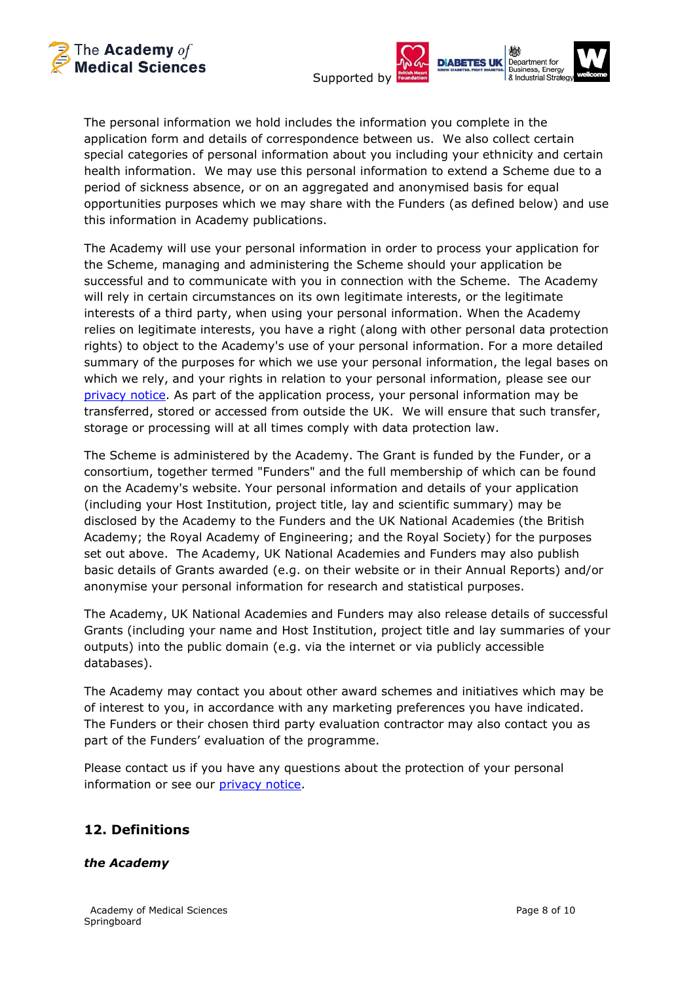



The personal information we hold includes the information you complete in the application form and details of correspondence between us. We also collect certain special categories of personal information about you including your ethnicity and certain health information. We may use this personal information to extend a Scheme due to a period of sickness absence, or on an aggregated and anonymised basis for equal opportunities purposes which we may share with the Funders (as defined below) and use this information in Academy publications.

The Academy will use your personal information in order to process your application for the Scheme, managing and administering the Scheme should your application be successful and to communicate with you in connection with the Scheme. The Academy will rely in certain circumstances on its own legitimate interests, or the legitimate interests of a third party, when using your personal information. When the Academy relies on legitimate interests, you have a right (along with other personal data protection rights) to object to the Academy's use of your personal information. For a more detailed summary of the purposes for which we use your personal information, the legal bases on which we rely, and your rights in relation to your personal information, please see our [privacy notice.](https://acmedsci.ac.uk/privacy-policy) As part of the application process, your personal information may be transferred, stored or accessed from outside the UK. We will ensure that such transfer, storage or processing will at all times comply with data protection law.

The Scheme is administered by the Academy. The Grant is funded by the Funder, or a consortium, together termed "Funders" and the full membership of which can be found on the Academy's website. Your personal information and details of your application (including your Host Institution, project title, lay and scientific summary) may be disclosed by the Academy to the Funders and the UK National Academies (the British Academy; the Royal Academy of Engineering; and the Royal Society) for the purposes set out above. The Academy, UK National Academies and Funders may also publish basic details of Grants awarded (e.g. on their website or in their Annual Reports) and/or anonymise your personal information for research and statistical purposes.

The Academy, UK National Academies and Funders may also release details of successful Grants (including your name and Host Institution, project title and lay summaries of your outputs) into the public domain (e.g. via the internet or via publicly accessible databases).

The Academy may contact you about other award schemes and initiatives which may be of interest to you, in accordance with any marketing preferences you have indicated. The Funders or their chosen third party evaluation contractor may also contact you as part of the Funders' evaluation of the programme.

Please contact us if you have any questions about the protection of your personal information or see our *privacy notice*.

# **12. Definitions**

## *the Academy*

Academy of Medical Sciences **Page 8 of 10** Academy of Medical Sciences **Page 8** of 10 **Springboard**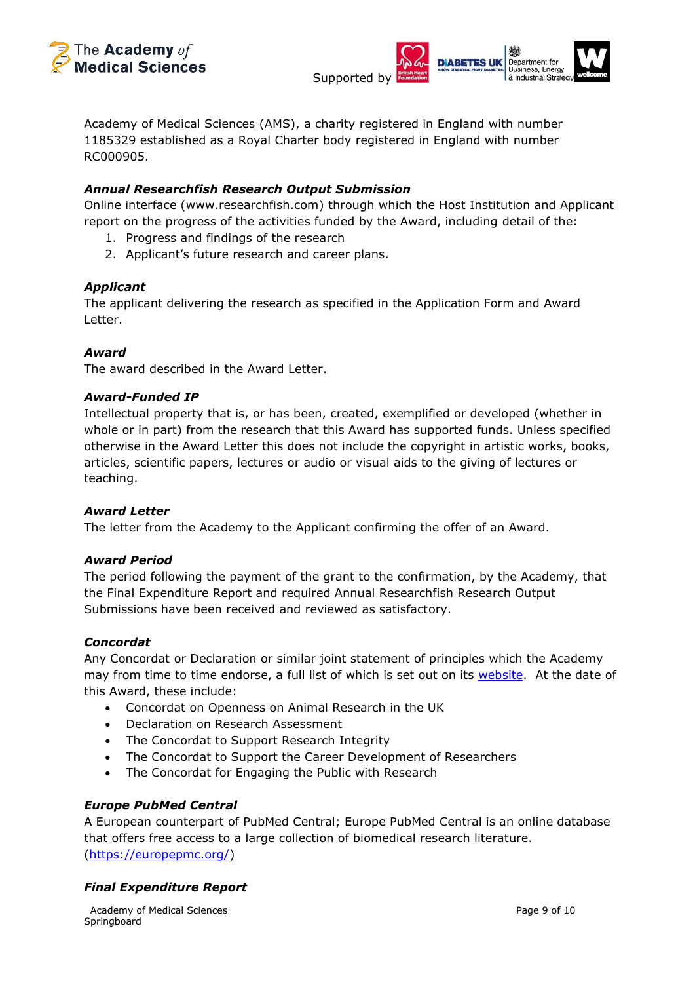



Academy of Medical Sciences (AMS), a charity registered in England with number 1185329 established as a Royal Charter body registered in England with number RC000905.

## *Annual Researchfish Research Output Submission*

Online interface (www.researchfish.com) through which the Host Institution and Applicant report on the progress of the activities funded by the Award, including detail of the:

- 1. Progress and findings of the research
- 2. Applicant's future research and career plans.

### *Applicant*

The applicant delivering the research as specified in the Application Form and Award Letter.

### *Award*

The award described in the Award Letter.

#### *Award-Funded IP*

Intellectual property that is, or has been, created, exemplified or developed (whether in whole or in part) from the research that this Award has supported funds. Unless specified otherwise in the Award Letter this does not include the copyright in artistic works, books, articles, scientific papers, lectures or audio or visual aids to the giving of lectures or teaching.

### *Award Letter*

The letter from the Academy to the Applicant confirming the offer of an Award.

### *Award Period*

The period following the payment of the grant to the confirmation, by the Academy, that the Final Expenditure Report and required Annual Researchfish Research Output Submissions have been received and reviewed as satisfactory.

#### *Concordat*

Any Concordat or Declaration or similar joint statement of principles which the Academy may from time to time endorse, a full list of which is set out on its [website.](https://acmedsci.ac.uk/grants-and-schemes/grant-schemes/information-for-awardees/policies-and-concordats-for-awardees) At the date of this Award, these include:

- Concordat on Openness on Animal Research in the UK
- Declaration on Research Assessment
- The Concordat to Support Research Integrity
- The Concordat to Support the Career Development of Researchers
- The Concordat for Engaging the Public with Research

### *Europe PubMed Central*

A European counterpart of PubMed Central; Europe PubMed Central is an online database that offers free access to a large collection of biomedical research literature. [\(https://europepmc.org/\)](https://europepmc.org/)

### *Final Expenditure Report*